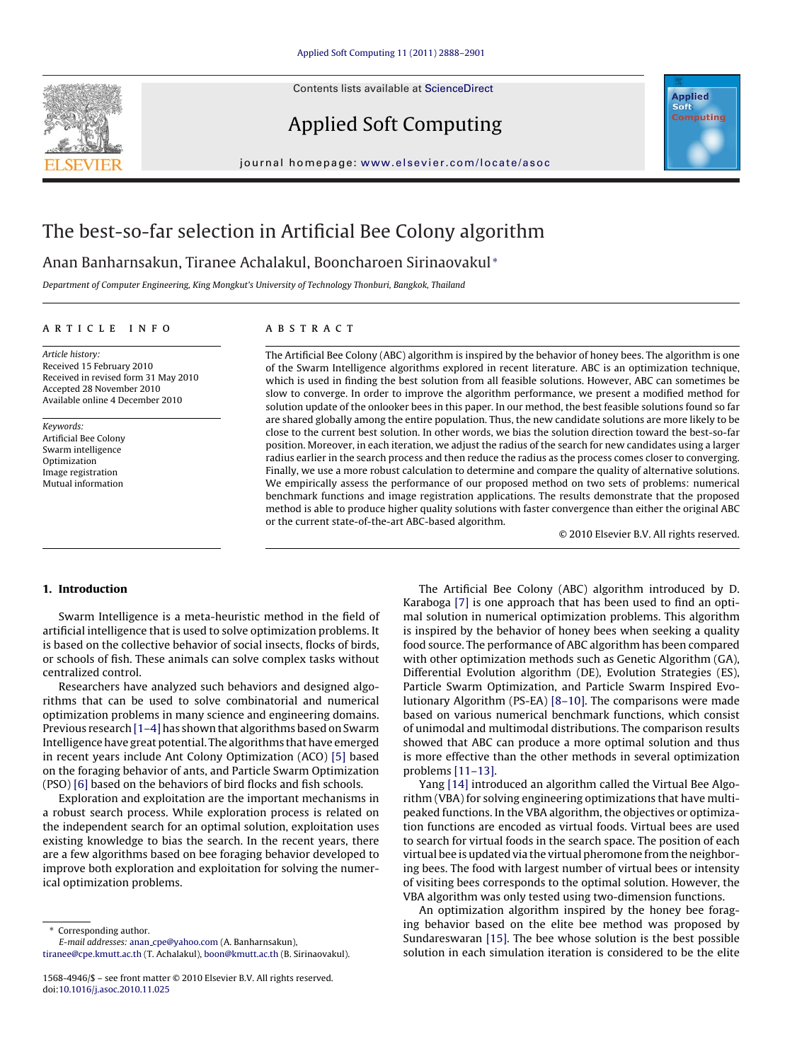Contents lists available at [ScienceDirect](http://www.sciencedirect.com/science/journal/15684946)



# Applied Soft Computing



journal homepage: <www.elsevier.com/locate/asoc>

## The best-so-far selection in Artificial Bee Colony algorithm

### Anan Banharnsakun, Tiranee Achalakul, Booncharoen Sirinaovakul <sup>∗</sup>

Department of Computer Engineering, King Mongkut's University of Technology Thonburi, Bangkok, Thailand

#### article info

Article history: Received 15 February 2010 Received in revised form 31 May 2010 Accepted 28 November 2010 Available online 4 December 2010

Keywords: Artificial Bee Colony Swarm intelligence Optimization Image registration Mutual information

#### **ABSTRACT**

The Artificial Bee Colony (ABC) algorithm is inspired by the behavior of honey bees. The algorithm is one of the Swarm Intelligence algorithms explored in recent literature. ABC is an optimization technique, which is used in finding the best solution from all feasible solutions. However, ABC can sometimes be slow to converge. In order to improve the algorithm performance, we present a modified method for solution update of the onlooker bees in this paper. In our method, the best feasible solutions found so far are shared globally among the entire population. Thus, the new candidate solutions are more likely to be close to the current best solution. In other words, we bias the solution direction toward the best-so-far position. Moreover, in each iteration, we adjust the radius of the search for new candidates using a larger radius earlier in the search process and then reduce the radius as the process comes closer to converging. Finally, we use a more robust calculation to determine and compare the quality of alternative solutions. We empirically assess the performance of our proposed method on two sets of problems: numerical benchmark functions and image registration applications. The results demonstrate that the proposed method is able to produce higher quality solutions with faster convergence than either the original ABC or the current state-of-the-art ABC-based algorithm.

© 2010 Elsevier B.V. All rights reserved.

#### **1. Introduction**

Swarm Intelligence is a meta-heuristic method in the field of artificial intelligence that is used to solve optimization problems. It is based on the collective behavior of social insects, flocks of birds, or schools of fish. These animals can solve complex tasks without centralized control.

Researchers have analyzed such behaviors and designed algorithms that can be used to solve combinatorial and numerical optimization problems in many science and engineering domains. Previous research [\[1–4\]](#page--1-0) has shown that algorithms based on Swarm Intelligence have great potential. The algorithms that have emerged in recent years include Ant Colony Optimization (ACO) [\[5\]](#page--1-0) based on the foraging behavior of ants, and Particle Swarm Optimization (PSO) [\[6\]](#page--1-0) based on the behaviors of bird flocks and fish schools.

Exploration and exploitation are the important mechanisms in a robust search process. While exploration process is related on the independent search for an optimal solution, exploitation uses existing knowledge to bias the search. In the recent years, there are a few algorithms based on bee foraging behavior developed to improve both exploration and exploitation for solving the numerical optimization problems.

∗ Corresponding author.

E-mail addresses: anan [cpe@yahoo.com](mailto:anan_cpe@yahoo.com) (A. Banharnsakun), [tiranee@cpe.kmutt.ac.th](mailto:tiranee@cpe.kmutt.ac.th) (T. Achalakul), [boon@kmutt.ac.th](mailto:boon@kmutt.ac.th) (B. Sirinaovakul).

The Artificial Bee Colony (ABC) algorithm introduced by D. Karaboga [\[7\]](#page--1-0) is one approach that has been used to find an optimal solution in numerical optimization problems. This algorithm is inspired by the behavior of honey bees when seeking a quality food source. The performance of ABC algorithm has been compared with other optimization methods such as Genetic Algorithm (GA), Differential Evolution algorithm (DE), Evolution Strategies (ES), Particle Swarm Optimization, and Particle Swarm Inspired Evolutionary Algorithm (PS-EA) [\[8–10\]. T](#page--1-0)he comparisons were made based on various numerical benchmark functions, which consist of unimodal and multimodal distributions. The comparison results showed that ABC can produce a more optimal solution and thus is more effective than the other methods in several optimization problems [\[11–13\].](#page--1-0)

Yang [\[14\]](#page--1-0) introduced an algorithm called the Virtual Bee Algorithm (VBA) for solving engineering optimizations that have multipeaked functions. In the VBA algorithm, the objectives or optimization functions are encoded as virtual foods. Virtual bees are used to search for virtual foods in the search space. The position of each virtual bee is updated via the virtual pheromone from the neighboring bees. The food with largest number of virtual bees or intensity of visiting bees corresponds to the optimal solution. However, the VBA algorithm was only tested using two-dimension functions.

An optimization algorithm inspired by the honey bee foraging behavior based on the elite bee method was proposed by Sundareswaran [\[15\]. T](#page--1-0)he bee whose solution is the best possible solution in each simulation iteration is considered to be the elite

<sup>1568-4946/\$ –</sup> see front matter © 2010 Elsevier B.V. All rights reserved. doi:[10.1016/j.asoc.2010.11.025](dx.doi.org/10.1016/j.asoc.2010.11.025)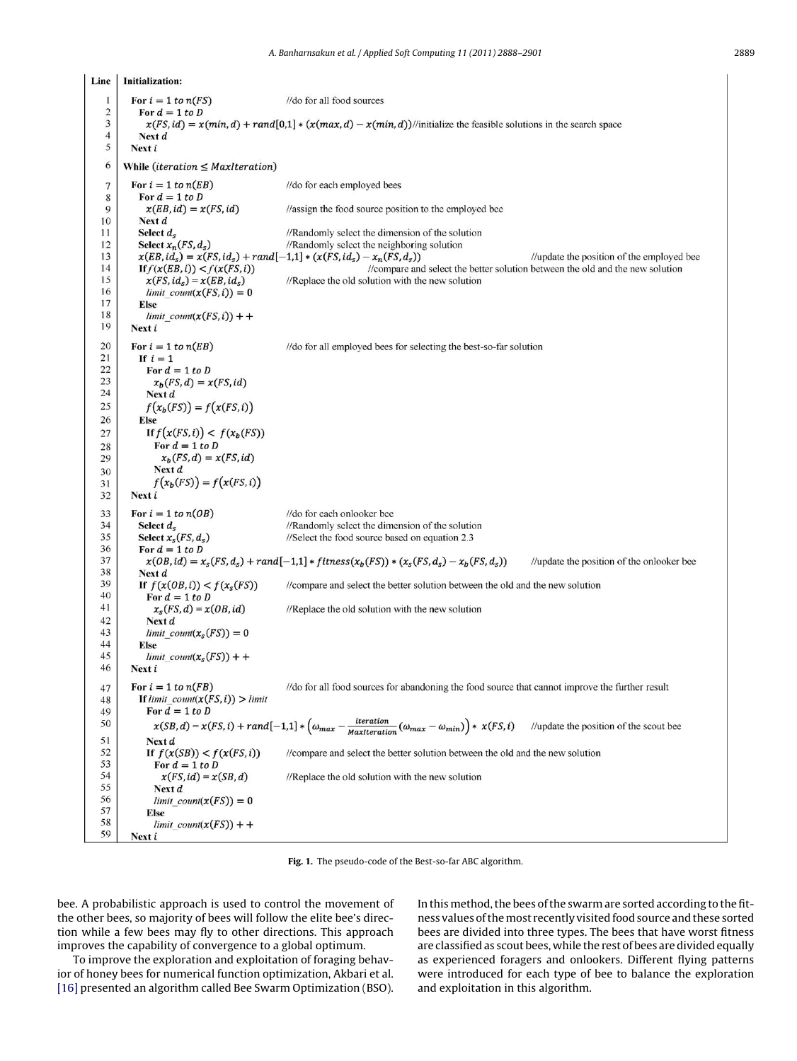Line **Initialization:** //do for all food sources For  $i = 1$  to  $n(FS)$  $\mathbf{1}$  $\overline{c}$ For  $d = 1$  to D  $\overline{3}$  $x(FS, id) = x(min, d) + rand[0, 1] * (x(max, d) - x(min, d))$ //initialize the feasible solutions in the search space  $\overline{4}$ Next  $d$ 5 Next i 6 While (iteration  $\leq$  MaxIteration) For  $i = 1$  to  $n(EB)$  $\overline{7}$ //do for each employed bees 8 For  $d = 1$  to D  $\overline{Q}$  $x(EB, id) = x(FS, id)$ //assign the food source position to the employed bee  $10$ Next  $d$  $11$ Select  $d_s$ //Randomly select the dimension of the solution  $12$ Select  $x_n(FS, d_s)$ //Randomly select the neighboring solution  $13$  $x(EB, id_s) = x(FS, id_s) + rand[-1,1] * (x(FS, id_s) - x_n(FS, d_s))$ //update the position of the employed bee  $14$ If  $f(x(EB, i)) < f(x(FS, i))$ //compare and select the better solution between the old and the new solution 15  $x(FS, id_s) = x(EB, id_s)$ //Replace the old solution with the new solution 16  $limit \ count(x(FS, i)) = 0$ 17 Else 18  $limit_{\text{count}(x(FS, i)) + +}$ 19 Next i 20 For  $i = 1$  to  $n(EB)$ //do for all employed bees for selecting the best-so-far solution 21 If  $i=1$  $22$ For  $d = 1$  to D  $23$  $x_b(FS, d) = x(FS, id)$  $24$ Next  $d$  $f(x_b(FS)) = f(x(FS, i))$ 25 26 Else If  $f(x(FS, i)) < f(x_b(FS))$ 27 28 For  $d = 1$  to D  $x_b(FS,d) = x(FS, id)$ 29 Next d 30  $f(x_b(FS)) = f(x(FS, i))$ 31 32 Next i For  $i = 1$  to  $n(OB)$ 33 //do for each onlooker bee  $34$ Select  $d_s$ //Randomly select the dimension of the solution 35 Select  $x_s(FS, d_s)$ //Select the food source based on equation 2.3 36 For  $d = 1$  to D 37  $x(OB, id) = x_s(FS, d_s) + rand[-1, 1] * fitness(x_b(FS)) * (x_s(FS, d_s) - x_b(FS, d_s))$ //update the position of the onlooker bee 38 Next d 39 If  $f(x(OB, i)) < f(x_s(FS))$ //compare and select the better solution between the old and the new solution 40 For  $d = 1$  to D  $41$  $x_s(FS, d) = x(OB, id)$ //Replace the old solution with the new solution  $42$ Next  $d$ 43  $limit\_count(x_s(FS)) = 0$  $44$ Else  $45$  $limit$   $count(x_s(FS)) + +$ 46 Next i //do for all food sources for abandoning the food source that cannot improve the further result 47 For  $i = 1$  to  $n(FB)$ 48 If  $limit\_count(x(FS, i)) > limit$ 49 For  $d = 1$  to D  $x(SB,d) = x(FS,i) + rand[-1,1] * (\omega_{max} - \frac{iteration}{Maxiteration}(\omega_{max} - \omega_{min})) * x(FS,i)$ 50 //update the position of the scout bee 51 Next d If  $f(x(SB)) < f(x(FS, i))$ 52 //compare and select the better solution between the old and the new solution 53 For  $d = 1$  to D 54  $x(FS, id) = x(SB, d)$ //Replace the old solution with the new solution 55 Next d 56  $limit$   $count(x(FS)) = 0$ 57 **Else** 58  $limit$   $count(x(FS)) + +$ 59 Next i

**Fig. 1.** The pseudo-code of the Best-so-far ABC algorithm.

bee. A probabilistic approach is used to control the movement of the other bees, so majority of bees will follow the elite bee's direction while a few bees may fly to other directions. This approach improves the capability of convergence to a global optimum.

To improve the exploration and exploitation of foraging behavior of honey bees for numerical function optimization, Akbari et al. [\[16\]](#page--1-0) presented an algorithm called Bee Swarm Optimization (BSO).

In this method, the bees of the swarm are sorted according to the fitness values of themost recently visited food source and these sorted bees are divided into three types. The bees that have worst fitness are classified as scout bees, while the rest of bees are divided equally as experienced foragers and onlookers. Different flying patterns were introduced for each type of bee to balance the exploration and exploitation in this algorithm.